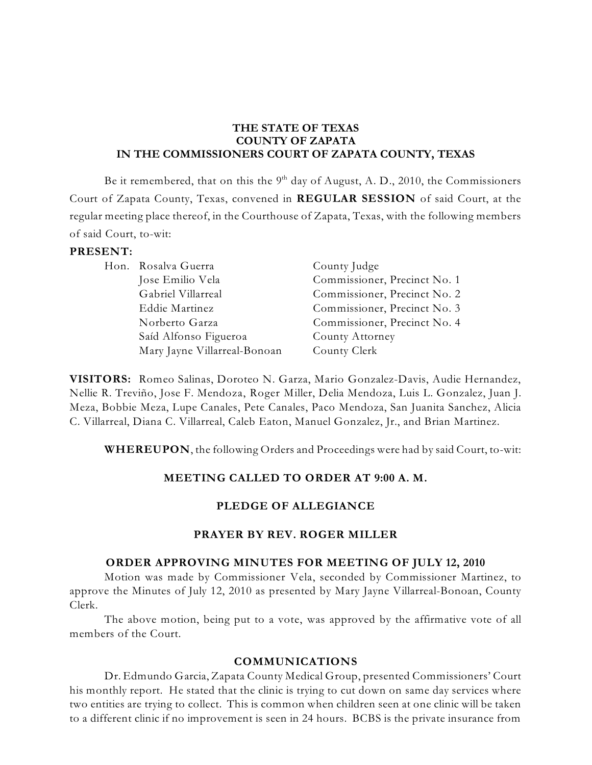### **THE STATE OF TEXAS COUNTY OF ZAPATA IN THE COMMISSIONERS COURT OF ZAPATA COUNTY, TEXAS**

Be it remembered, that on this the  $9^{\text{th}}$  day of August, A. D., 2010, the Commissioners Court of Zapata County, Texas, convened in **REGULAR SESSION** of said Court, at the regular meeting place thereof, in the Courthouse of Zapata, Texas, with the following members of said Court, to-wit:

#### **PRESENT:**

| Hon. Rosalva Guerra          | County Judge                 |
|------------------------------|------------------------------|
| Jose Emilio Vela             | Commissioner, Precinct No. 1 |
| Gabriel Villarreal           | Commissioner, Precinct No. 2 |
| Eddie Martinez               | Commissioner, Precinct No. 3 |
| Norberto Garza               | Commissioner, Precinct No. 4 |
| Saíd Alfonso Figueroa        | County Attorney              |
| Mary Jayne Villarreal-Bonoan | County Clerk                 |

**VISITORS:** Romeo Salinas, Doroteo N. Garza, Mario Gonzalez-Davis, Audie Hernandez, Nellie R. Treviño, Jose F. Mendoza, Roger Miller, Delia Mendoza, Luis L. Gonzalez, Juan J. Meza, Bobbie Meza, Lupe Canales, Pete Canales, Paco Mendoza, San Juanita Sanchez, Alicia C. Villarreal, Diana C. Villarreal, Caleb Eaton, Manuel Gonzalez, Jr., and Brian Martinez.

**WHEREUPON**, the following Orders and Proceedings were had by said Court, to-wit:

### **MEETING CALLED TO ORDER AT 9:00 A. M.**

#### **PLEDGE OF ALLEGIANCE**

### **PRAYER BY REV. ROGER MILLER**

#### **ORDER APPROVING MINUTES FOR MEETING OF JULY 12, 2010**

Motion was made by Commissioner Vela, seconded by Commissioner Martinez, to approve the Minutes of July 12, 2010 as presented by Mary Jayne Villarreal-Bonoan, County Clerk.

The above motion, being put to a vote, was approved by the affirmative vote of all members of the Court.

#### **COMMUNICATIONS**

Dr. Edmundo Garcia, Zapata County Medical Group, presented Commissioners' Court his monthly report. He stated that the clinic is trying to cut down on same day services where two entities are trying to collect. This is common when children seen at one clinic will be taken to a different clinic if no improvement is seen in 24 hours. BCBS is the private insurance from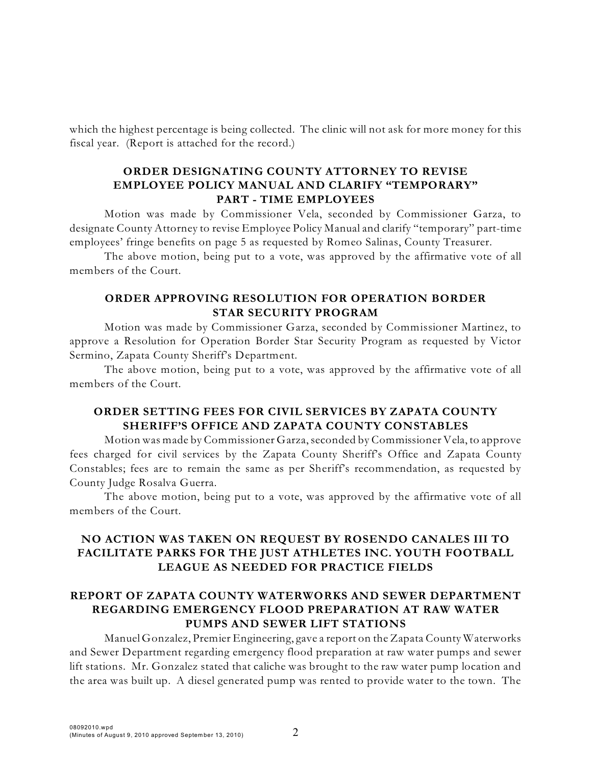which the highest percentage is being collected. The clinic will not ask for more money for this fiscal year. (Report is attached for the record.)

### **ORDER DESIGNATING COUNTY ATTORNEY TO REVISE EMPLOYEE POLICY MANUAL AND CLARIFY "TEMPORARY" PART - TIME EMPLOYEES**

Motion was made by Commissioner Vela, seconded by Commissioner Garza, to designate County Attorney to revise Employee Policy Manual and clarify "temporary" part-time employees' fringe benefits on page 5 as requested by Romeo Salinas, County Treasurer.

The above motion, being put to a vote, was approved by the affirmative vote of all members of the Court.

## **ORDER APPROVING RESOLUTION FOR OPERATION BORDER STAR SECURITY PROGRAM**

Motion was made by Commissioner Garza, seconded by Commissioner Martinez, to approve a Resolution for Operation Border Star Security Program as requested by Victor Sermino, Zapata County Sheriff's Department.

The above motion, being put to a vote, was approved by the affirmative vote of all members of the Court.

## **ORDER SETTING FEES FOR CIVIL SERVICES BY ZAPATA COUNTY SHERIFF'S OFFICE AND ZAPATA COUNTY CONSTABLES**

Motion was made by Commissioner Garza,seconded by Commissioner Vela, to approve fees charged for civil services by the Zapata County Sheriff's Office and Zapata County Constables; fees are to remain the same as per Sheriff's recommendation, as requested by County Judge Rosalva Guerra.

The above motion, being put to a vote, was approved by the affirmative vote of all members of the Court.

# **NO ACTION WAS TAKEN ON REQUEST BY ROSENDO CANALES III TO FACILITATE PARKS FOR THE JUST ATHLETES INC. YOUTH FOOTBALL LEAGUE AS NEEDED FOR PRACTICE FIELDS**

## **REPORT OF ZAPATA COUNTY WATERWORKS AND SEWER DEPARTMENT REGARDING EMERGENCY FLOOD PREPARATION AT RAW WATER PUMPS AND SEWER LIFT STATIONS**

Manuel Gonzalez, Premier Engineering, gave a report on the Zapata County Waterworks and Sewer Department regarding emergency flood preparation at raw water pumps and sewer lift stations. Mr. Gonzalez stated that caliche was brought to the raw water pump location and the area was built up. A diesel generated pump was rented to provide water to the town. The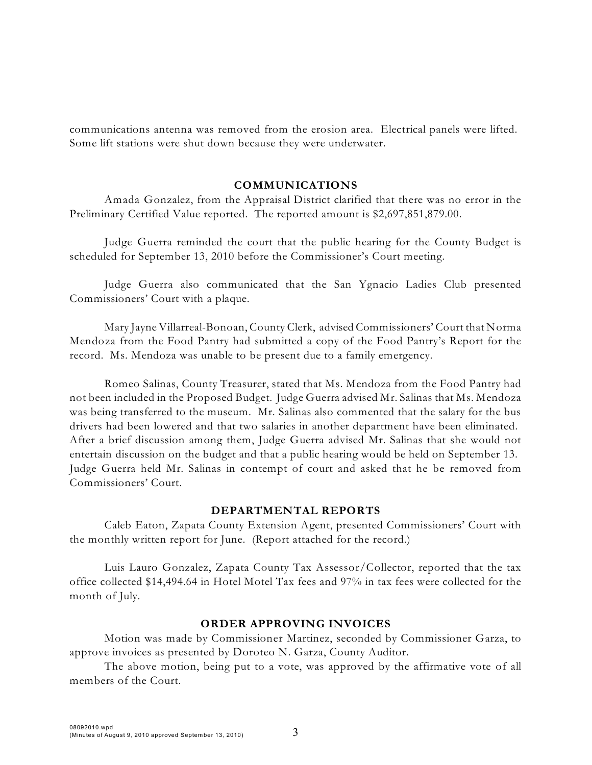communications antenna was removed from the erosion area. Electrical panels were lifted. Some lift stations were shut down because they were underwater.

#### **COMMUNICATIONS**

Amada Gonzalez, from the Appraisal District clarified that there was no error in the Preliminary Certified Value reported. The reported amount is \$2,697,851,879.00.

Judge Guerra reminded the court that the public hearing for the County Budget is scheduled for September 13, 2010 before the Commissioner's Court meeting.

Judge Guerra also communicated that the San Ygnacio Ladies Club presented Commissioners' Court with a plaque.

Mary Jayne Villarreal-Bonoan, County Clerk, advised Commissioners' Court that Norma Mendoza from the Food Pantry had submitted a copy of the Food Pantry's Report for the record. Ms. Mendoza was unable to be present due to a family emergency.

Romeo Salinas, County Treasurer, stated that Ms. Mendoza from the Food Pantry had not been included in the Proposed Budget. Judge Guerra advised Mr. Salinas that Ms. Mendoza was being transferred to the museum. Mr. Salinas also commented that the salary for the bus drivers had been lowered and that two salaries in another department have been eliminated. After a brief discussion among them, Judge Guerra advised Mr. Salinas that she would not entertain discussion on the budget and that a public hearing would be held on September 13. Judge Guerra held Mr. Salinas in contempt of court and asked that he be removed from Commissioners' Court.

#### **DEPARTMENTAL REPORTS**

Caleb Eaton, Zapata County Extension Agent, presented Commissioners' Court with the monthly written report for June. (Report attached for the record.)

Luis Lauro Gonzalez, Zapata County Tax Assessor/Collector, reported that the tax office collected \$14,494.64 in Hotel Motel Tax fees and 97% in tax fees were collected for the month of July.

#### **ORDER APPROVING INVOICES**

Motion was made by Commissioner Martinez, seconded by Commissioner Garza, to approve invoices as presented by Doroteo N. Garza, County Auditor.

The above motion, being put to a vote, was approved by the affirmative vote of all members of the Court.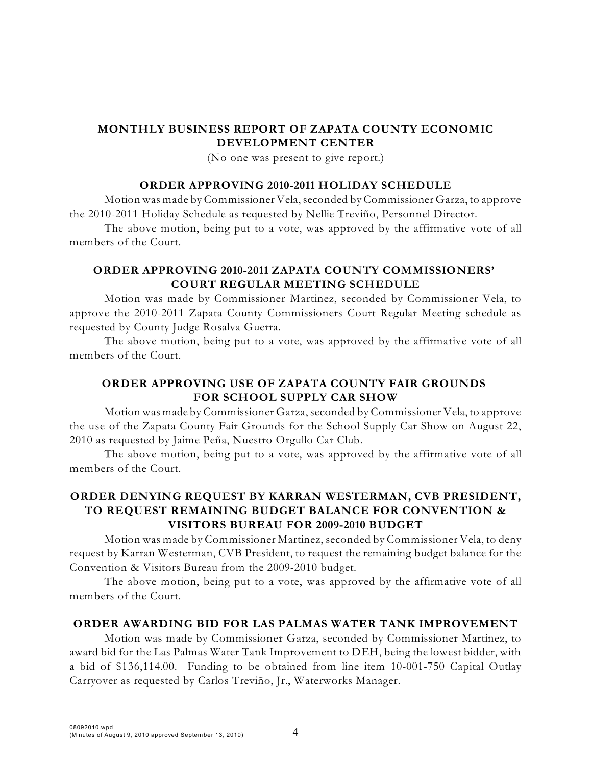# **MONTHLY BUSINESS REPORT OF ZAPATA COUNTY ECONOMIC DEVELOPMENT CENTER**

(No one was present to give report.)

### **ORDER APPROVING 2010-2011 HOLIDAY SCHEDULE**

Motion was made by Commissioner Vela, seconded by Commissioner Garza, to approve the 2010-2011 Holiday Schedule as requested by Nellie Treviño, Personnel Director.

The above motion, being put to a vote, was approved by the affirmative vote of all members of the Court.

## **ORDER APPROVING 2010-2011 ZAPATA COUNTY COMMISSIONERS' COURT REGULAR MEETING SCHEDULE**

Motion was made by Commissioner Martinez, seconded by Commissioner Vela, to approve the 2010-2011 Zapata County Commissioners Court Regular Meeting schedule as requested by County Judge Rosalva Guerra.

The above motion, being put to a vote, was approved by the affirmative vote of all members of the Court.

## **ORDER APPROVING USE OF ZAPATA COUNTY FAIR GROUNDS FOR SCHOOL SUPPLY CAR SHOW**

Motion was made by Commissioner Garza, seconded by Commissioner Vela, to approve the use of the Zapata County Fair Grounds for the School Supply Car Show on August 22, 2010 as requested by Jaime Peña, Nuestro Orgullo Car Club.

The above motion, being put to a vote, was approved by the affirmative vote of all members of the Court.

## **ORDER DENYING REQUEST BY KARRAN WESTERMAN, CVB PRESIDENT, TO REQUEST REMAINING BUDGET BALANCE FOR CONVENTION & VISITORS BUREAU FOR 2009-2010 BUDGET**

Motion was made by Commissioner Martinez, seconded by Commissioner Vela, to deny request by Karran Westerman, CVB President, to request the remaining budget balance for the Convention & Visitors Bureau from the 2009-2010 budget.

The above motion, being put to a vote, was approved by the affirmative vote of all members of the Court.

#### **ORDER AWARDING BID FOR LAS PALMAS WATER TANK IMPROVEMENT**

Motion was made by Commissioner Garza, seconded by Commissioner Martinez, to award bid for the Las Palmas Water Tank Improvement to DEH, being the lowest bidder, with a bid of \$136,114.00. Funding to be obtained from line item 10-001-750 Capital Outlay Carryover as requested by Carlos Treviño, Jr., Waterworks Manager.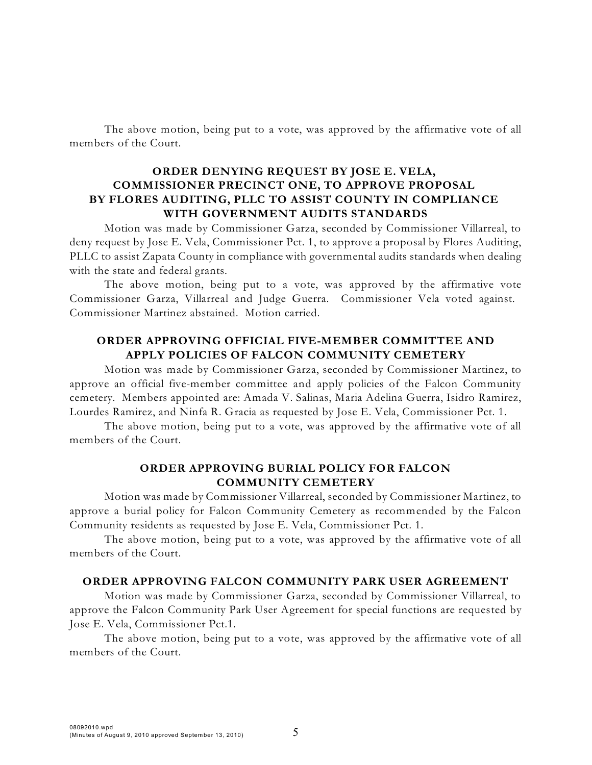The above motion, being put to a vote, was approved by the affirmative vote of all members of the Court.

## **ORDER DENYING REQUEST BY JOSE E. VELA, COMMISSIONER PRECINCT ONE, TO APPROVE PROPOSAL BY FLORES AUDITING, PLLC TO ASSIST COUNTY IN COMPLIANCE WITH GOVERNMENT AUDITS STANDARDS**

Motion was made by Commissioner Garza, seconded by Commissioner Villarreal, to deny request by Jose E. Vela, Commissioner Pct. 1, to approve a proposal by Flores Auditing, PLLC to assist Zapata County in compliance with governmental audits standards when dealing with the state and federal grants.

The above motion, being put to a vote, was approved by the affirmative vote Commissioner Garza, Villarreal and Judge Guerra. Commissioner Vela voted against. Commissioner Martinez abstained. Motion carried.

## **ORDER APPROVING OFFICIAL FIVE-MEMBER COMMITTEE AND APPLY POLICIES OF FALCON COMMUNITY CEMETERY**

Motion was made by Commissioner Garza, seconded by Commissioner Martinez, to approve an official five-member committee and apply policies of the Falcon Community cemetery. Members appointed are: Amada V. Salinas, Maria Adelina Guerra, Isidro Ramirez, Lourdes Ramirez, and Ninfa R. Gracia as requested by Jose E. Vela, Commissioner Pct. 1.

The above motion, being put to a vote, was approved by the affirmative vote of all members of the Court.

### **ORDER APPROVING BURIAL POLICY FOR FALCON COMMUNITY CEMETERY**

Motion was made by Commissioner Villarreal, seconded by Commissioner Martinez, to approve a burial policy for Falcon Community Cemetery as recommended by the Falcon Community residents as requested by Jose E. Vela, Commissioner Pct. 1.

The above motion, being put to a vote, was approved by the affirmative vote of all members of the Court.

#### **ORDER APPROVING FALCON COMMUNITY PARK USER AGREEMENT**

Motion was made by Commissioner Garza, seconded by Commissioner Villarreal, to approve the Falcon Community Park User Agreement for special functions are requested by Jose E. Vela, Commissioner Pct.1.

The above motion, being put to a vote, was approved by the affirmative vote of all members of the Court.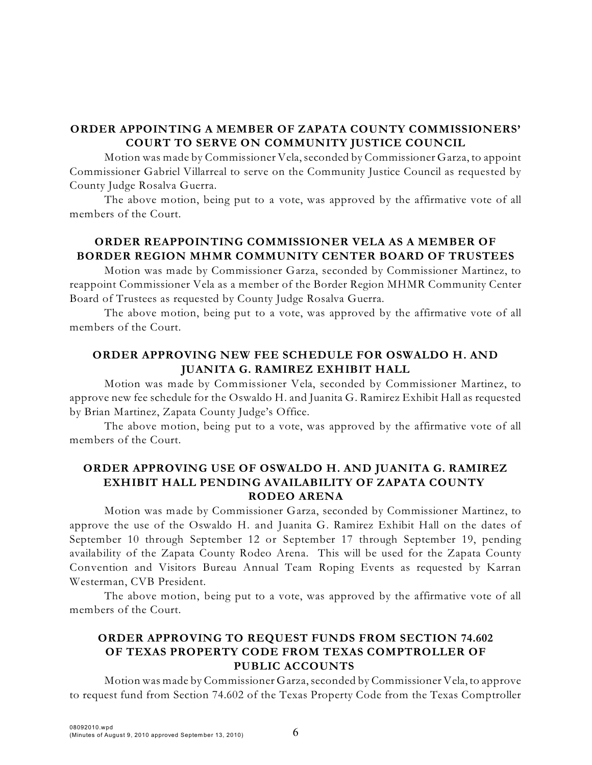# **ORDER APPOINTING A MEMBER OF ZAPATA COUNTY COMMISSIONERS' COURT TO SERVE ON COMMUNITY JUSTICE COUNCIL**

Motion was made by Commissioner Vela, seconded by Commissioner Garza, to appoint Commissioner Gabriel Villarreal to serve on the Community Justice Council as requested by County Judge Rosalva Guerra.

The above motion, being put to a vote, was approved by the affirmative vote of all members of the Court.

# **ORDER REAPPOINTING COMMISSIONER VELA AS A MEMBER OF BORDER REGION MHMR COMMUNITY CENTER BOARD OF TRUSTEES**

Motion was made by Commissioner Garza, seconded by Commissioner Martinez, to reappoint Commissioner Vela as a member of the Border Region MHMR Community Center Board of Trustees as requested by County Judge Rosalva Guerra.

The above motion, being put to a vote, was approved by the affirmative vote of all members of the Court.

# **ORDER APPROVING NEW FEE SCHEDULE FOR OSWALDO H. AND JUANITA G. RAMIREZ EXHIBIT HALL**

Motion was made by Commissioner Vela, seconded by Commissioner Martinez, to approve new fee schedule for the Oswaldo H. and Juanita G. Ramirez Exhibit Hall as requested by Brian Martinez, Zapata County Judge's Office.

The above motion, being put to a vote, was approved by the affirmative vote of all members of the Court.

## **ORDER APPROVING USE OF OSWALDO H. AND JUANITA G. RAMIREZ EXHIBIT HALL PENDING AVAILABILITY OF ZAPATA COUNTY RODEO ARENA**

Motion was made by Commissioner Garza, seconded by Commissioner Martinez, to approve the use of the Oswaldo H. and Juanita G. Ramirez Exhibit Hall on the dates of September 10 through September 12 or September 17 through September 19, pending availability of the Zapata County Rodeo Arena. This will be used for the Zapata County Convention and Visitors Bureau Annual Team Roping Events as requested by Karran Westerman, CVB President.

The above motion, being put to a vote, was approved by the affirmative vote of all members of the Court.

# **ORDER APPROVING TO REQUEST FUNDS FROM SECTION 74.602 OF TEXAS PROPERTY CODE FROM TEXAS COMPTROLLER OF PUBLIC ACCOUNTS**

Motion was made by Commissioner Garza,seconded by Commissioner Vela, to approve to request fund from Section 74.602 of the Texas Property Code from the Texas Comptroller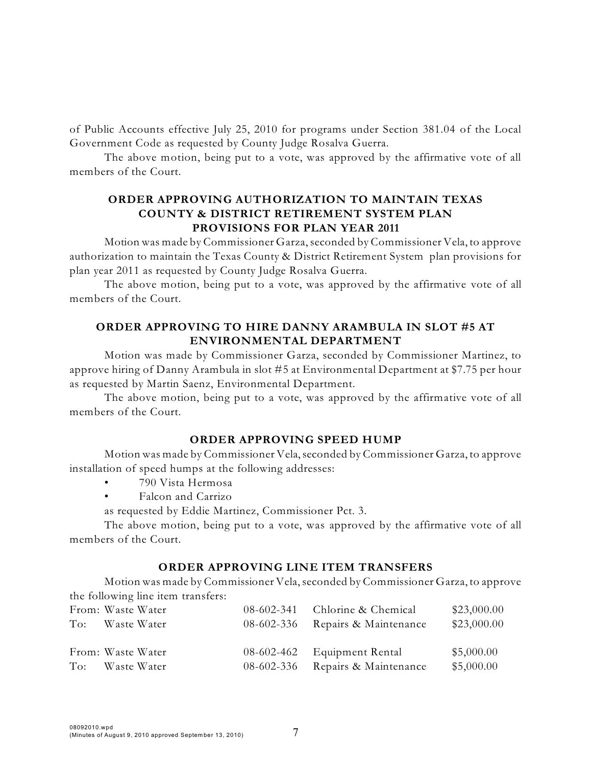of Public Accounts effective July 25, 2010 for programs under Section 381.04 of the Local Government Code as requested by County Judge Rosalva Guerra.

The above motion, being put to a vote, was approved by the affirmative vote of all members of the Court.

## **ORDER APPROVING AUTHORIZATION TO MAINTAIN TEXAS COUNTY & DISTRICT RETIREMENT SYSTEM PLAN PROVISIONS FOR PLAN YEAR 2011**

Motion was made by Commissioner Garza,seconded by Commissioner Vela, to approve authorization to maintain the Texas County & District Retirement System plan provisions for plan year 2011 as requested by County Judge Rosalva Guerra.

The above motion, being put to a vote, was approved by the affirmative vote of all members of the Court.

# **ORDER APPROVING TO HIRE DANNY ARAMBULA IN SLOT #5 AT ENVIRONMENTAL DEPARTMENT**

Motion was made by Commissioner Garza, seconded by Commissioner Martinez, to approve hiring of Danny Arambula in slot #5 at Environmental Department at \$7.75 per hour as requested by Martin Saenz, Environmental Department.

The above motion, being put to a vote, was approved by the affirmative vote of all members of the Court.

### **ORDER APPROVING SPEED HUMP**

Motion was made by Commissioner Vela, seconded by Commissioner Garza, to approve installation of speed humps at the following addresses:

- 790 Vista Hermosa
- Falcon and Carrizo
- as requested by Eddie Martinez, Commissioner Pct. 3.

The above motion, being put to a vote, was approved by the affirmative vote of all members of the Court.

#### **ORDER APPROVING LINE ITEM TRANSFERS**

Motion was made by Commissioner Vela, seconded by Commissioner Garza, to approve the following line item transfers:

|                | From: Waste Water | 08-602-341 | Chlorine & Chemical              | \$23,000.00 |
|----------------|-------------------|------------|----------------------------------|-------------|
| To:            | Waste Water       |            | 08-602-336 Repairs & Maintenance | \$23,000.00 |
|                |                   |            |                                  |             |
|                | From: Waste Water | 08-602-462 | Equipment Rental                 | \$5,000.00  |
| $\mathrm{To:}$ | Waste Water       | 08-602-336 | Repairs & Maintenance            | \$5,000.00  |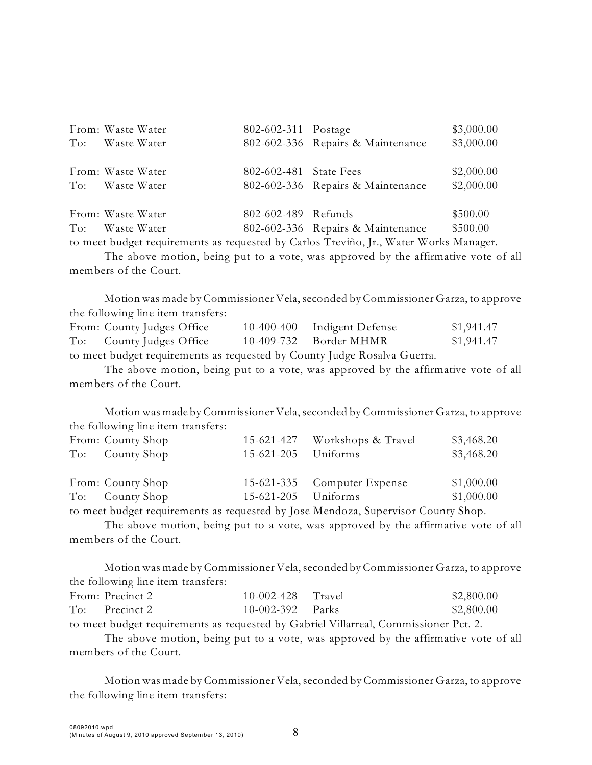|                | From: Waste Water | 802-602-311 Postage    |                                                                                       | \$3,000.00 |
|----------------|-------------------|------------------------|---------------------------------------------------------------------------------------|------------|
| $\mathrm{To:}$ | Waste Water       |                        | 802-602-336 Repairs & Maintenance                                                     | \$3,000.00 |
|                |                   |                        |                                                                                       |            |
|                | From: Waste Water | 802-602-481 State Fees |                                                                                       | \$2,000.00 |
| To:            | Waste Water       |                        | 802-602-336 Repairs & Maintenance                                                     | \$2,000.00 |
|                |                   |                        |                                                                                       |            |
|                | From: Waste Water | 802-602-489 Refunds    |                                                                                       | \$500.00   |
|                | To: Waste Water   |                        | 802-602-336 Repairs & Maintenance                                                     | \$500.00   |
|                |                   |                        | to meet budget requirements as requested by Carlos Treviño, Jr., Water Works Manager. |            |

The above motion, being put to a vote, was approved by the affirmative vote of all members of the Court.

Motion was made by Commissioner Vela, seconded by Commissioner Garza, to approve the following line item transfers:

| From: County Judges Office                                               | 10-400-400 Indigent Defense | \$1,941.47 |
|--------------------------------------------------------------------------|-----------------------------|------------|
| To: County Judges Office                                                 | 10-409-732 Border MHMR      | \$1,941.47 |
| to meet budget requirements as requested by County Judge Rosalva Guerra. |                             |            |

The above motion, being put to a vote, was approved by the affirmative vote of all members of the Court.

Motion was made by Commissioner Vela, seconded by Commissioner Garza, to approve the following line item transfers:

| From: County Shop<br>To: County Shop                                            | 15-621-205 Uniforms | 15-621-427 Workshops & Travel | \$3,468.20<br>\$3,468.20 |
|---------------------------------------------------------------------------------|---------------------|-------------------------------|--------------------------|
| From: County Shop                                                               |                     | 15-621-335 Computer Expense   | \$1,000.00               |
| To: County Shop                                                                 | 15-621-205 Uniforms |                               | \$1,000.00               |
| to most budget requirements as requested by Laso Mendang Supervisor County Shap |                     |                               |                          |

to meet budget requirements as requested by Jose Mendoza, Supervisor County Shop.

The above motion, being put to a vote, was approved by the affirmative vote of all members of the Court.

Motion was made by Commissioner Vela, seconded by Commissioner Garza, to approve the following line item transfers:

| From: Precinct 2                                                                                                                                                                                                                                                                             | $10-002-428$ Travel | \$2,800.00 |
|----------------------------------------------------------------------------------------------------------------------------------------------------------------------------------------------------------------------------------------------------------------------------------------------|---------------------|------------|
| To: Precinct 2                                                                                                                                                                                                                                                                               | $10-002-392$ Parks  | \$2,800.00 |
| $\sim$ 1 1 $\sim$ $\sim$ $\sim$ 11 $\sim$ 1 $\sim$ 1 $\sim$ 1 $\sim$ 1 $\sim$ 1 $\sim$ 1 $\sim$ 1 $\sim$ 1 $\sim$ 1 $\sim$ 1 $\sim$ 1 $\sim$ 1 $\sim$ 1 $\sim$ 1 $\sim$ 1 $\sim$ 1 $\sim$ 1 $\sim$ 1 $\sim$ 1 $\sim$ 1 $\sim$ 1 $\sim$ 1 $\sim$ 1 $\sim$ 1 $\sim$ 1 $\sim$ 1 $\sim$ 1 $\sim$ |                     |            |

to meet budget requirements as requested by Gabriel Villarreal, Commissioner Pct. 2.

The above motion, being put to a vote, was approved by the affirmative vote of all members of the Court.

Motion was made by Commissioner Vela, seconded by Commissioner Garza, to approve the following line item transfers: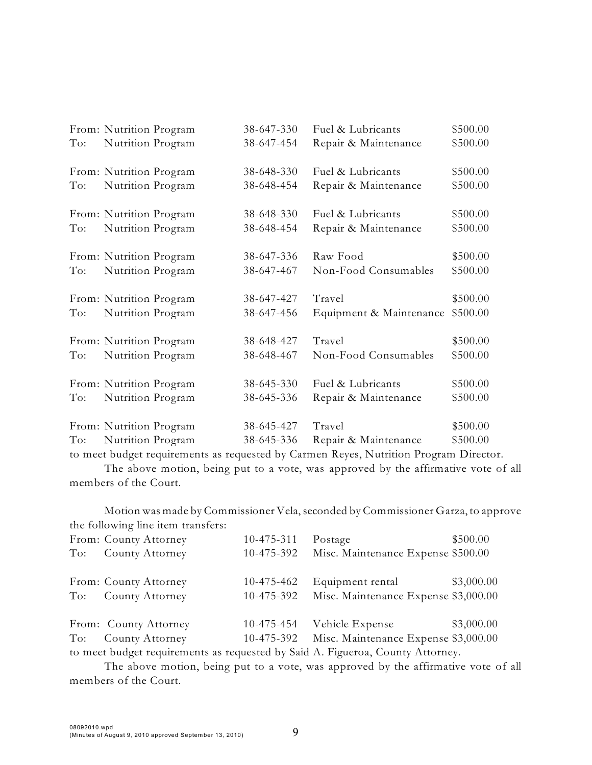|     | From: Nutrition Program | 38-647-330 | Fuel & Lubricants       | \$500.00 |
|-----|-------------------------|------------|-------------------------|----------|
| To: | Nutrition Program       | 38-647-454 | Repair & Maintenance    | \$500.00 |
|     | From: Nutrition Program | 38-648-330 | Fuel & Lubricants       | \$500.00 |
| To: | Nutrition Program       | 38-648-454 | Repair & Maintenance    | \$500.00 |
|     | From: Nutrition Program | 38-648-330 | Fuel & Lubricants       | \$500.00 |
| To: | Nutrition Program       | 38-648-454 | Repair & Maintenance    | \$500.00 |
|     | From: Nutrition Program | 38-647-336 | Raw Food                | \$500.00 |
| To: | Nutrition Program       | 38-647-467 | Non-Food Consumables    | \$500.00 |
|     | From: Nutrition Program | 38-647-427 | Travel                  | \$500.00 |
| To: | Nutrition Program       | 38-647-456 | Equipment & Maintenance | \$500.00 |
|     | From: Nutrition Program | 38-648-427 | Travel                  | \$500.00 |
| To: | Nutrition Program       | 38-648-467 | Non-Food Consumables    | \$500.00 |
|     | From: Nutrition Program | 38-645-330 | Fuel & Lubricants       | \$500.00 |
| To: | Nutrition Program       | 38-645-336 | Repair & Maintenance    | \$500.00 |
|     | From: Nutrition Program | 38-645-427 | Travel                  | \$500.00 |
| To: | Nutrition Program       | 38-645-336 | Repair & Maintenance    | \$500.00 |

to meet budget requirements as requested by Carmen Reyes, Nutrition Program Director.

The above motion, being put to a vote, was approved by the affirmative vote of all members of the Court.

Motion was made by Commissioner Vela, seconded by Commissioner Garza, to approve the following line item transfers:

|                                                                                | From: County Attorney | 10-475-311 | Postage                              | \$500.00   |  |
|--------------------------------------------------------------------------------|-----------------------|------------|--------------------------------------|------------|--|
| To:                                                                            | County Attorney       | 10-475-392 | Misc. Maintenance Expense \$500.00   |            |  |
|                                                                                |                       |            |                                      |            |  |
|                                                                                | From: County Attorney | 10-475-462 | Equipment rental                     | \$3,000.00 |  |
| To:                                                                            | County Attorney       | 10-475-392 | Misc. Maintenance Expense \$3,000.00 |            |  |
|                                                                                | From: County Attorney | 10-475-454 | Vehicle Expense                      | \$3,000.00 |  |
| To:                                                                            | County Attorney       | 10-475-392 | Misc. Maintenance Expense \$3,000.00 |            |  |
| to meet budget requirements as requested by Said A. Figueroa, County Attorney. |                       |            |                                      |            |  |

The above motion, being put to a vote, was approved by the affirmative vote of all members of the Court.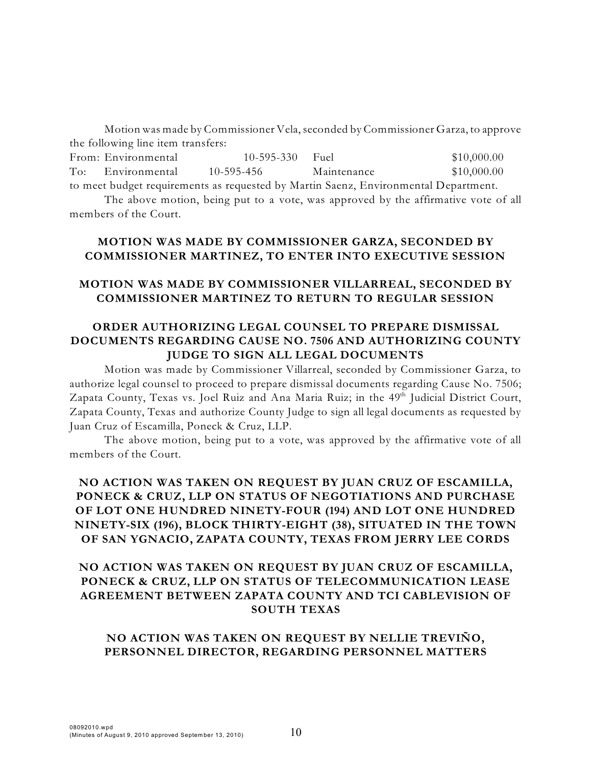Motion was made by Commissioner Vela, seconded by Commissioner Garza, to approve the following line item transfers:

| From: Environmental | $10-595-330$ Fuel |                                                                                     | \$10,000.00 |
|---------------------|-------------------|-------------------------------------------------------------------------------------|-------------|
| To: Environmental   | 10-595-456        | Maintenance                                                                         | \$10,000.00 |
|                     |                   | to meet budget requirements as requested by Martin Saenz, Environmental Department. |             |

The above motion, being put to a vote, was approved by the affirmative vote of all members of the Court.

## **MOTION WAS MADE BY COMMISSIONER GARZA, SECONDED BY COMMISSIONER MARTINEZ, TO ENTER INTO EXECUTIVE SESSION**

## **MOTION WAS MADE BY COMMISSIONER VILLARREAL, SECONDED BY COMMISSIONER MARTINEZ TO RETURN TO REGULAR SESSION**

## **ORDER AUTHORIZING LEGAL COUNSEL TO PREPARE DISMISSAL DOCUMENTS REGARDING CAUSE NO. 7506 AND AUTHORIZING COUNTY JUDGE TO SIGN ALL LEGAL DOCUMENTS**

Motion was made by Commissioner Villarreal, seconded by Commissioner Garza, to authorize legal counsel to proceed to prepare dismissal documents regarding Cause No. 7506; Zapata County, Texas vs. Joel Ruiz and Ana Maria Ruiz; in the 49<sup>th</sup> Judicial District Court, Zapata County, Texas and authorize County Judge to sign all legal documents as requested by Juan Cruz of Escamilla, Poneck & Cruz, LLP.

The above motion, being put to a vote, was approved by the affirmative vote of all members of the Court.

# **NO ACTION WAS TAKEN ON REQUEST BY JUAN CRUZ OF ESCAMILLA, PONECK & CRUZ, LLP ON STATUS OF NEGOTIATIONS AND PURCHASE OF LOT ONE HUNDRED NINETY-FOUR (194) AND LOT ONE HUNDRED NINETY-SIX (196), BLOCK THIRTY-EIGHT (38), SITUATED IN THE TOWN OF SAN YGNACIO, ZAPATA COUNTY, TEXAS FROM JERRY LEE CORDS**

# **NO ACTION WAS TAKEN ON REQUEST BY JUAN CRUZ OF ESCAMILLA, PONECK & CRUZ, LLP ON STATUS OF TELECOMMUNICATION LEASE AGREEMENT BETWEEN ZAPATA COUNTY AND TCI CABLEVISION OF SOUTH TEXAS**

### **NO ACTION WAS TAKEN ON REQUEST BY NELLIE TREVIÑO, PERSONNEL DIRECTOR, REGARDING PERSONNEL MATTERS**